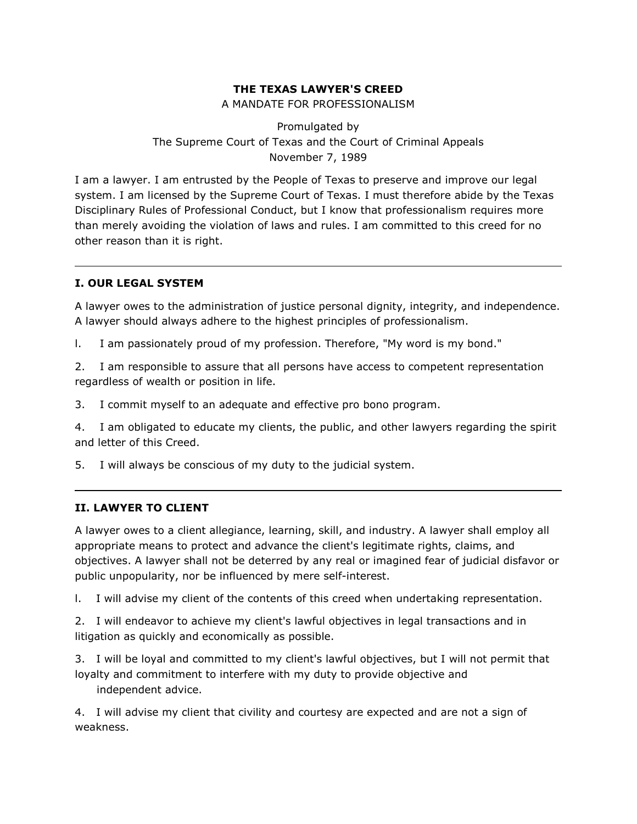# **THE TEXAS LAWYER'S CREED**

A MANDATE FOR PROFESSIONALISM

Promulgated by The Supreme Court of Texas and the Court of Criminal Appeals November 7, 1989

I am a lawyer. I am entrusted by the People of Texas to preserve and improve our legal system. I am licensed by the Supreme Court of Texas. I must therefore abide by the Texas Disciplinary Rules of Professional Conduct, but I know that professionalism requires more than merely avoiding the violation of laws and rules. I am committed to this creed for no other reason than it is right.

## **I. OUR LEGAL SYSTEM**

A lawyer owes to the administration of justice personal dignity, integrity, and independence. A lawyer should always adhere to the highest principles of professionalism.

l. I am passionately proud of my profession. Therefore, "My word is my bond."

2. I am responsible to assure that all persons have access to competent representation regardless of wealth or position in life.

3. I commit myself to an adequate and effective pro bono program.

4. I am obligated to educate my clients, the public, and other lawyers regarding the spirit and letter of this Creed.

5. I will always be conscious of my duty to the judicial system.

## **II. LAWYER TO CLIENT**

A lawyer owes to a client allegiance, learning, skill, and industry. A lawyer shall employ all appropriate means to protect and advance the client's legitimate rights, claims, and objectives. A lawyer shall not be deterred by any real or imagined fear of judicial disfavor or public unpopularity, nor be influenced by mere self-interest.

l. I will advise my client of the contents of this creed when undertaking representation.

2. I will endeavor to achieve my client's lawful objectives in legal transactions and in litigation as quickly and economically as possible.

3. I will be loyal and committed to my client's lawful objectives, but I will not permit that loyalty and commitment to interfere with my duty to provide objective and independent advice.

4. I will advise my client that civility and courtesy are expected and are not a sign of weakness.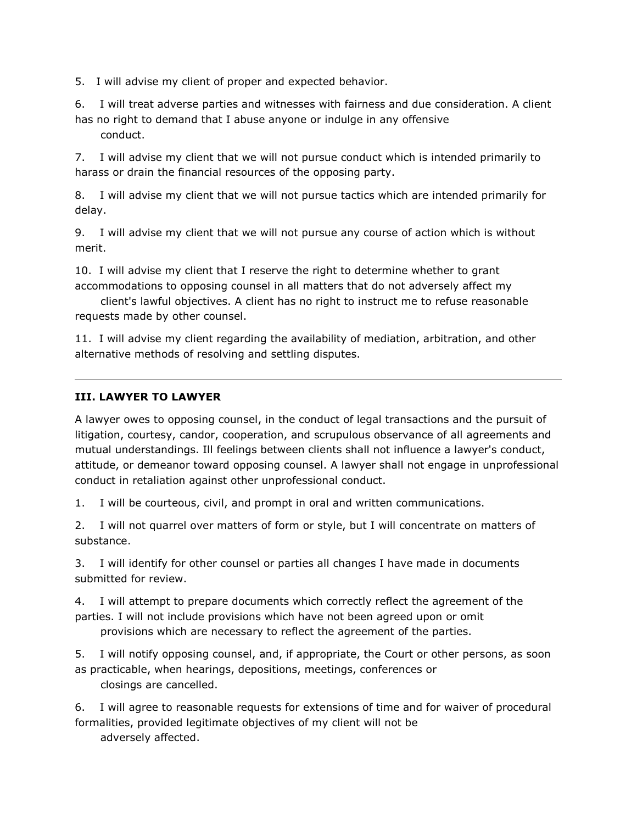5. I will advise my client of proper and expected behavior.

6. I will treat adverse parties and witnesses with fairness and due consideration. A client has no right to demand that I abuse anyone or indulge in any offensive conduct.

7. I will advise my client that we will not pursue conduct which is intended primarily to harass or drain the financial resources of the opposing party.

8. I will advise my client that we will not pursue tactics which are intended primarily for delay.

9. I will advise my client that we will not pursue any course of action which is without merit.

10. I will advise my client that I reserve the right to determine whether to grant accommodations to opposing counsel in all matters that do not adversely affect my

 client's lawful objectives. A client has no right to instruct me to refuse reasonable requests made by other counsel.

11. I will advise my client regarding the availability of mediation, arbitration, and other alternative methods of resolving and settling disputes.

## **III. LAWYER TO LAWYER**

A lawyer owes to opposing counsel, in the conduct of legal transactions and the pursuit of litigation, courtesy, candor, cooperation, and scrupulous observance of all agreements and mutual understandings. Ill feelings between clients shall not influence a lawyer's conduct, attitude, or demeanor toward opposing counsel. A lawyer shall not engage in unprofessional conduct in retaliation against other unprofessional conduct.

1. I will be courteous, civil, and prompt in oral and written communications.

2. I will not quarrel over matters of form or style, but I will concentrate on matters of substance.

3. I will identify for other counsel or parties all changes I have made in documents submitted for review.

4. I will attempt to prepare documents which correctly reflect the agreement of the parties. I will not include provisions which have not been agreed upon or omit provisions which are necessary to reflect the agreement of the parties.

5. I will notify opposing counsel, and, if appropriate, the Court or other persons, as soon as practicable, when hearings, depositions, meetings, conferences or closings are cancelled.

6. I will agree to reasonable requests for extensions of time and for waiver of procedural formalities, provided legitimate objectives of my client will not be adversely affected.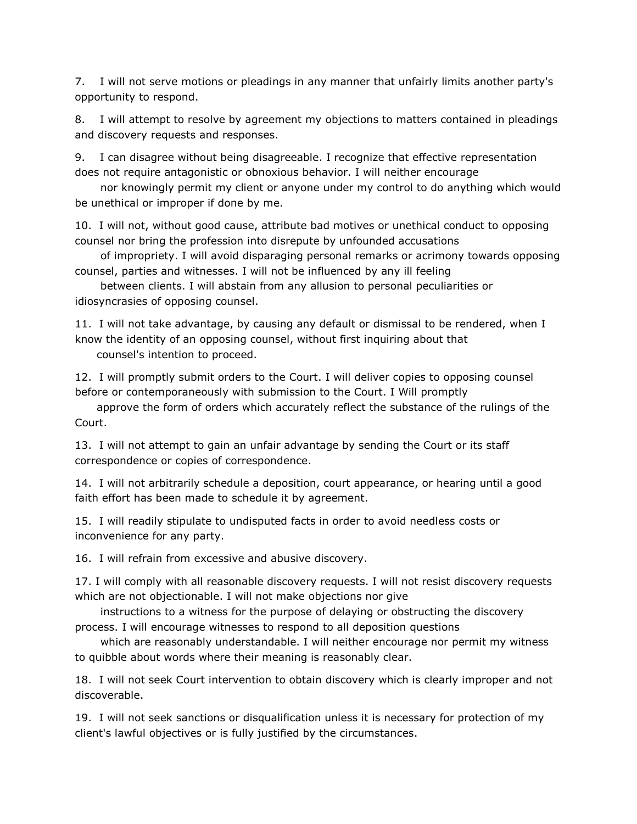7. I will not serve motions or pleadings in any manner that unfairly limits another party's opportunity to respond.

8. I will attempt to resolve by agreement my objections to matters contained in pleadings and discovery requests and responses.

9. I can disagree without being disagreeable. I recognize that effective representation does not require antagonistic or obnoxious behavior. I will neither encourage

 nor knowingly permit my client or anyone under my control to do anything which would be unethical or improper if done by me.

10. I will not, without good cause, attribute bad motives or unethical conduct to opposing counsel nor bring the profession into disrepute by unfounded accusations

 of impropriety. I will avoid disparaging personal remarks or acrimony towards opposing counsel, parties and witnesses. I will not be influenced by any ill feeling

 between clients. I will abstain from any allusion to personal peculiarities or idiosyncrasies of opposing counsel.

11. I will not take advantage, by causing any default or dismissal to be rendered, when I know the identity of an opposing counsel, without first inquiring about that counsel's intention to proceed.

12. I will promptly submit orders to the Court. I will deliver copies to opposing counsel before or contemporaneously with submission to the Court. I Will promptly

 approve the form of orders which accurately reflect the substance of the rulings of the Court.

13. I will not attempt to gain an unfair advantage by sending the Court or its staff correspondence or copies of correspondence.

14. I will not arbitrarily schedule a deposition, court appearance, or hearing until a good faith effort has been made to schedule it by agreement.

15. I will readily stipulate to undisputed facts in order to avoid needless costs or inconvenience for any party.

16. I will refrain from excessive and abusive discovery.

17. I will comply with all reasonable discovery requests. I will not resist discovery requests which are not objectionable. I will not make objections nor give

 instructions to a witness for the purpose of delaying or obstructing the discovery process. I will encourage witnesses to respond to all deposition questions

 which are reasonably understandable. I will neither encourage nor permit my witness to quibble about words where their meaning is reasonably clear.

18. I will not seek Court intervention to obtain discovery which is clearly improper and not discoverable.

19. I will not seek sanctions or disqualification unless it is necessary for protection of my client's lawful objectives or is fully justified by the circumstances.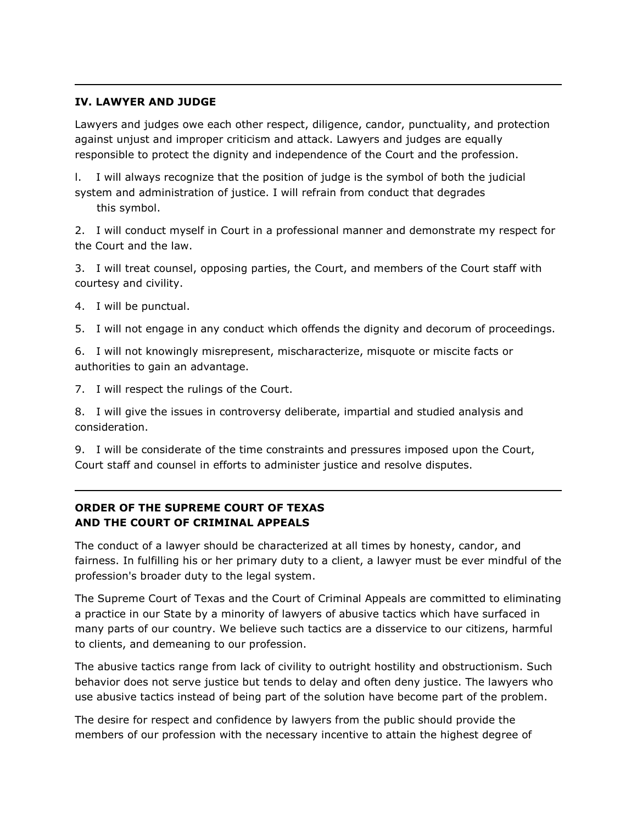### **IV. LAWYER AND JUDGE**

Lawyers and judges owe each other respect, diligence, candor, punctuality, and protection against unjust and improper criticism and attack. Lawyers and judges are equally responsible to protect the dignity and independence of the Court and the profession.

l. I will always recognize that the position of judge is the symbol of both the judicial system and administration of justice. I will refrain from conduct that degrades this symbol.

2. I will conduct myself in Court in a professional manner and demonstrate my respect for the Court and the law.

3. I will treat counsel, opposing parties, the Court, and members of the Court staff with courtesy and civility.

- 4. I will be punctual.
- 5. I will not engage in any conduct which offends the dignity and decorum of proceedings.

6. I will not knowingly misrepresent, mischaracterize, misquote or miscite facts or authorities to gain an advantage.

7. I will respect the rulings of the Court.

8. I will give the issues in controversy deliberate, impartial and studied analysis and consideration.

9. I will be considerate of the time constraints and pressures imposed upon the Court, Court staff and counsel in efforts to administer justice and resolve disputes.

# **ORDER OF THE SUPREME COURT OF TEXAS AND THE COURT OF CRIMINAL APPEALS**

The conduct of a lawyer should be characterized at all times by honesty, candor, and fairness. In fulfilling his or her primary duty to a client, a lawyer must be ever mindful of the profession's broader duty to the legal system.

The Supreme Court of Texas and the Court of Criminal Appeals are committed to eliminating a practice in our State by a minority of lawyers of abusive tactics which have surfaced in many parts of our country. We believe such tactics are a disservice to our citizens, harmful to clients, and demeaning to our profession.

The abusive tactics range from lack of civility to outright hostility and obstructionism. Such behavior does not serve justice but tends to delay and often deny justice. The lawyers who use abusive tactics instead of being part of the solution have become part of the problem.

The desire for respect and confidence by lawyers from the public should provide the members of our profession with the necessary incentive to attain the highest degree of